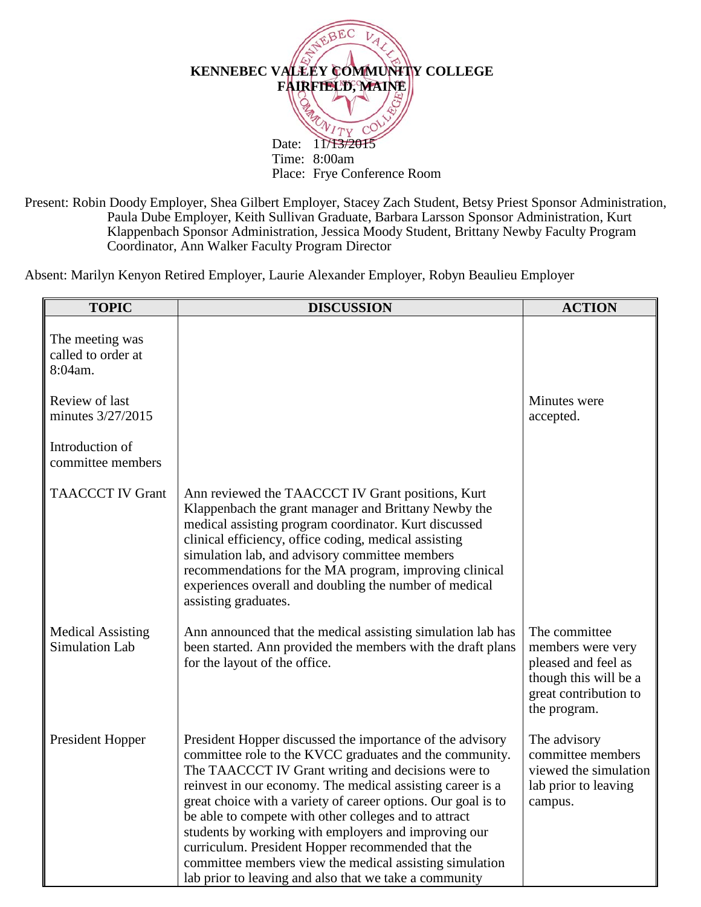

Present: Robin Doody Employer, Shea Gilbert Employer, Stacey Zach Student, Betsy Priest Sponsor Administration, Paula Dube Employer, Keith Sullivan Graduate, Barbara Larsson Sponsor Administration, Kurt Klappenbach Sponsor Administration, Jessica Moody Student, Brittany Newby Faculty Program Coordinator, Ann Walker Faculty Program Director

Absent: Marilyn Kenyon Retired Employer, Laurie Alexander Employer, Robyn Beaulieu Employer

| <b>TOPIC</b>                                      | <b>DISCUSSION</b>                                                                                                                                                                                                                                                                                                                                                                                                                                                                                                                                                                                    | <b>ACTION</b>                                                                                                               |
|---------------------------------------------------|------------------------------------------------------------------------------------------------------------------------------------------------------------------------------------------------------------------------------------------------------------------------------------------------------------------------------------------------------------------------------------------------------------------------------------------------------------------------------------------------------------------------------------------------------------------------------------------------------|-----------------------------------------------------------------------------------------------------------------------------|
| The meeting was<br>called to order at<br>8:04am.  |                                                                                                                                                                                                                                                                                                                                                                                                                                                                                                                                                                                                      |                                                                                                                             |
| Review of last<br>minutes 3/27/2015               |                                                                                                                                                                                                                                                                                                                                                                                                                                                                                                                                                                                                      | Minutes were<br>accepted.                                                                                                   |
| Introduction of<br>committee members              |                                                                                                                                                                                                                                                                                                                                                                                                                                                                                                                                                                                                      |                                                                                                                             |
| <b>TAACCCT IV Grant</b>                           | Ann reviewed the TAACCCT IV Grant positions, Kurt<br>Klappenbach the grant manager and Brittany Newby the<br>medical assisting program coordinator. Kurt discussed<br>clinical efficiency, office coding, medical assisting<br>simulation lab, and advisory committee members<br>recommendations for the MA program, improving clinical<br>experiences overall and doubling the number of medical<br>assisting graduates.                                                                                                                                                                            |                                                                                                                             |
| <b>Medical Assisting</b><br><b>Simulation Lab</b> | Ann announced that the medical assisting simulation lab has<br>been started. Ann provided the members with the draft plans<br>for the layout of the office.                                                                                                                                                                                                                                                                                                                                                                                                                                          | The committee<br>members were very<br>pleased and feel as<br>though this will be a<br>great contribution to<br>the program. |
| President Hopper                                  | President Hopper discussed the importance of the advisory<br>committee role to the KVCC graduates and the community.<br>The TAACCCT IV Grant writing and decisions were to<br>reinvest in our economy. The medical assisting career is a<br>great choice with a variety of career options. Our goal is to<br>be able to compete with other colleges and to attract<br>students by working with employers and improving our<br>curriculum. President Hopper recommended that the<br>committee members view the medical assisting simulation<br>lab prior to leaving and also that we take a community | The advisory<br>committee members<br>viewed the simulation<br>lab prior to leaving<br>campus.                               |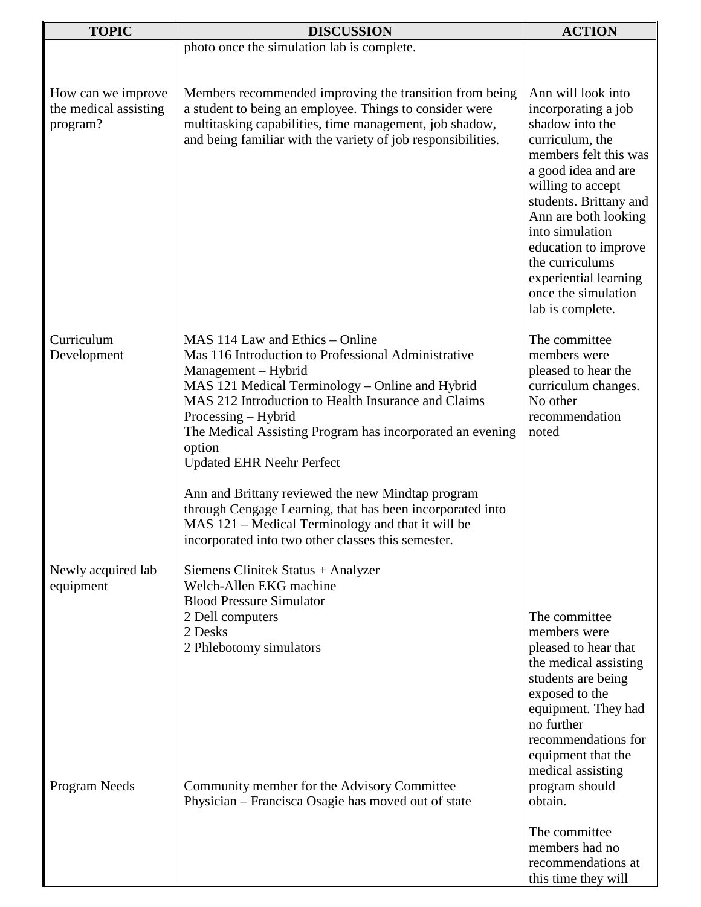| <b>TOPIC</b>                      | <b>DISCUSSION</b>                                                                                                                                                                                                                                                                                                                                         | <b>ACTION</b>                                                                                                                                                                                                                                                                                                      |
|-----------------------------------|-----------------------------------------------------------------------------------------------------------------------------------------------------------------------------------------------------------------------------------------------------------------------------------------------------------------------------------------------------------|--------------------------------------------------------------------------------------------------------------------------------------------------------------------------------------------------------------------------------------------------------------------------------------------------------------------|
|                                   | photo once the simulation lab is complete.                                                                                                                                                                                                                                                                                                                |                                                                                                                                                                                                                                                                                                                    |
| How can we improve                | Members recommended improving the transition from being                                                                                                                                                                                                                                                                                                   | Ann will look into                                                                                                                                                                                                                                                                                                 |
| the medical assisting<br>program? | a student to being an employee. Things to consider were<br>multitasking capabilities, time management, job shadow,<br>and being familiar with the variety of job responsibilities.                                                                                                                                                                        | incorporating a job<br>shadow into the<br>curriculum, the<br>members felt this was<br>a good idea and are<br>willing to accept<br>students. Brittany and<br>Ann are both looking<br>into simulation<br>education to improve<br>the curriculums<br>experiential learning<br>once the simulation<br>lab is complete. |
| Curriculum<br>Development         | MAS 114 Law and Ethics – Online<br>Mas 116 Introduction to Professional Administrative<br>Management – Hybrid<br>MAS 121 Medical Terminology - Online and Hybrid<br>MAS 212 Introduction to Health Insurance and Claims<br>Processing – Hybrid<br>The Medical Assisting Program has incorporated an evening<br>option<br><b>Updated EHR Neehr Perfect</b> | The committee<br>members were<br>pleased to hear the<br>curriculum changes.<br>No other<br>recommendation<br>noted                                                                                                                                                                                                 |
|                                   | Ann and Brittany reviewed the new Mindtap program<br>through Cengage Learning, that has been incorporated into<br>MAS 121 – Medical Terminology and that it will be<br>incorporated into two other classes this semester.                                                                                                                                 |                                                                                                                                                                                                                                                                                                                    |
| Newly acquired lab<br>equipment   | Siemens Clinitek Status + Analyzer<br>Welch-Allen EKG machine<br><b>Blood Pressure Simulator</b>                                                                                                                                                                                                                                                          |                                                                                                                                                                                                                                                                                                                    |
|                                   | 2 Dell computers<br>2 Desks<br>2 Phlebotomy simulators                                                                                                                                                                                                                                                                                                    | The committee<br>members were<br>pleased to hear that<br>the medical assisting<br>students are being<br>exposed to the<br>equipment. They had                                                                                                                                                                      |
| Program Needs                     | Community member for the Advisory Committee<br>Physician – Francisca Osagie has moved out of state                                                                                                                                                                                                                                                        | no further<br>recommendations for<br>equipment that the<br>medical assisting<br>program should<br>obtain.                                                                                                                                                                                                          |
|                                   |                                                                                                                                                                                                                                                                                                                                                           | The committee<br>members had no<br>recommendations at<br>this time they will                                                                                                                                                                                                                                       |